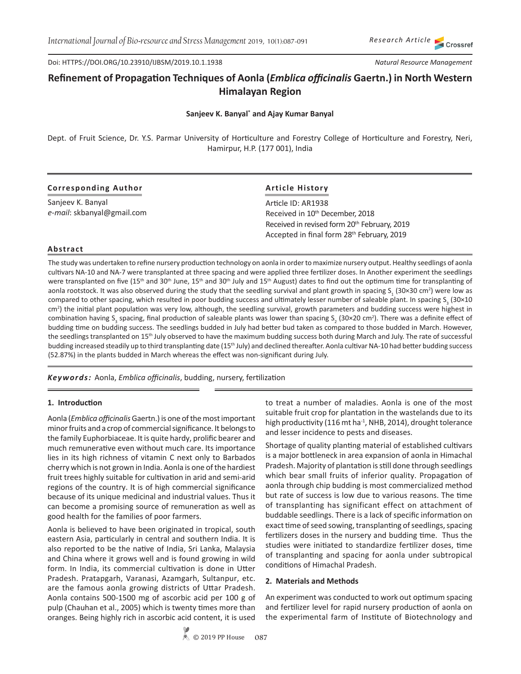Doi: HTTPS://DOI.ORG/10.23910/IJBSM/2019.10.1.1938

# **Refinement of Propagation Techniques of Aonla (***Emblica officinalis* **Gaertn.) in North Western Himalayan Region**

## **Sanjeev K. Banyal\* and Ajay Kumar Banyal**

Dept. of Fruit Science, Dr. Y.S. Parmar University of Horticulture and Forestry College of Horticulture and Forestry, Neri, Hamirpur, H.P. (177 001), India

|  | <b>Corresponding Author</b> |
|--|-----------------------------|
|--|-----------------------------|

Sanjeev K. Banyal *e-mail*: skbanyal@gmail.com

# **Article History**

Article ID: AR1938 Received in 10<sup>th</sup> December, 2018 Received in revised form 20<sup>th</sup> February, 2019 Accepted in final form 28<sup>th</sup> February, 2019

## **Abstract**

The study was undertaken to refine nursery production technology on aonla in order to maximize nursery output. Healthy seedlings of aonla cultivars NA-10 and NA-7 were transplanted at three spacing and were applied three fertilizer doses. In Another experiment the seedlings were transplanted on five (15<sup>th</sup> and 30<sup>th</sup> June, 15<sup>th</sup> and 30<sup>th</sup> July and 15<sup>th</sup> August) dates to find out the optimum time for transplanting of aonla rootstock. It was also observed during the study that the seedling survival and plant growth in spacing S<sub>1</sub> (30×30 cm<sup>2</sup>) were low as compared to other spacing, which resulted in poor budding success and ultimately lesser number of saleable plant. In spacing S<sub>3</sub> (30×10 cm2 ) the initial plant population was very low, although, the seedling survival, growth parameters and budding success were highest in combination having S<sub>3</sub> spacing, final production of saleable plants was lower than spacing S<sub>2</sub> (30×20 cm<sup>2</sup>). There was a definite effect of budding time on budding success. The seedlings budded in July had better bud taken as compared to those budded in March. However, the seedlings transplanted on 15<sup>th</sup> July observed to have the maximum budding success both during March and July. The rate of successful budding increased steadily up to third transplanting date (15<sup>th</sup> July) and declined thereafter. Aonla cultivar NA-10 had better budding success (52.87%) in the plants budded in March whereas the effect was non-significant during July.

*Keywords:* Aonla, *Emblica officinalis*, budding, nursery, fertilization

## **1. Introduction**

Aonla (*Emblica officinalis* Gaertn.)is one of the most important minor fruits and a crop of commercial significance. It belongs to the family Euphorbiaceae. It is quite hardy, prolific bearer and much remunerative even without much care. Its importance lies in its high richness of vitamin C next only to Barbados cherry which is not grown in India. Aonla is one of the hardiest fruit trees highly suitable for cultivation in arid and semi-arid regions of the country. It is of high commercial significance because of its unique medicinal and industrial values. Thus it can become a promising source of remuneration as well as good health for the families of poor farmers.

Aonla is believed to have been originated in tropical, south eastern Asia, particularly in central and southern India. It is also reported to be the native of India, Sri Lanka, Malaysia and China where it grows well and is found growing in wild form. In India, its commercial cultivation is done in Utter Pradesh. Pratapgarh, Varanasi, Azamgarh, Sultanpur, etc. are the famous aonla growing districts of Uttar Pradesh. Aonla contains 500-1500 mg of ascorbic acid per 100 g of pulp (Chauhan et al., 2005) which is twenty times more than oranges. Being highly rich in ascorbic acid content, it is used

to treat a number of maladies. Aonla is one of the most suitable fruit crop for plantation in the wastelands due to its high productivity (116 mt ha<sup>-1</sup>, NHB, 2014), drought tolerance and lesser incidence to pests and diseases.

Shortage of quality planting material of established cultivars is a major bottleneck in area expansion of aonla in Himachal Pradesh. Majority of plantation is still done through seedlings which bear small fruits of inferior quality. Propagation of aonla through chip budding is most commercialized method but rate of success is low due to various reasons. The time of transplanting has significant effect on attachment of buddable seedlings. There is a lack of specific information on exact time of seed sowing, transplanting of seedlings, spacing fertilizers doses in the nursery and budding time. Thus the studies were initiated to standardize fertilizer doses, time of transplanting and spacing for aonla under subtropical conditions of Himachal Pradesh.

## **2. Materials and Methods**

An experiment was conducted to work out optimum spacing and fertilizer level for rapid nursery production of aonla on the experimental farm of Institute of Biotechnology and

*Research Article*

*Natural Resource Management*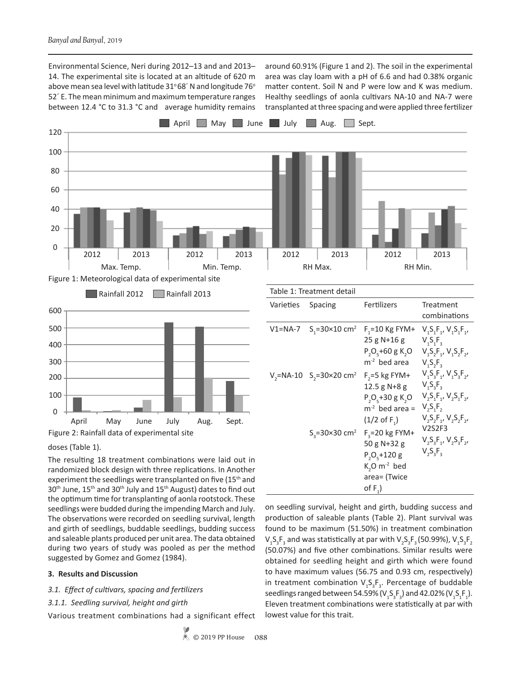Environmental Science, Neri during 2012–13 and and 2013– 14. The experimental site is located at an altitude of 620 m above mean sea level with latitude  $31^{\circ}68'$  N and longitude 76 $^{\circ}$ 52´ E. The mean minimum and maximum temperature ranges between 12.4 °C to 31.3 °C and average humidity remains around 60.91% (Figure 1 and 2). The soil in the experimental area was clay loam with a pH of 6.6 and had 0.38% organic matter content. Soil N and P were low and K was medium. Healthy seedlings of aonla cultivars NA-10 and NA-7 were transplanted at three spacing and were applied three fertilizer





#### doses (Table 1).

The resulting 18 treatment combinations were laid out in randomized block design with three replications. In Another experiment the seedlings were transplanted on five (15<sup>th</sup> and  $30<sup>th</sup>$  June, 15<sup>th</sup> and 30<sup>th</sup> July and 15<sup>th</sup> August) dates to find out the optimum time for transplanting of aonla rootstock. These seedlings were budded during the impending March and July. The observations were recorded on seedling survival, length and girth of seedlings, buddable seedlings, budding success and saleable plants produced per unit area. The data obtained during two years of study was pooled as per the method suggested by Gomez and Gomez (1984).

#### **3. Results and Discussion**

## *3.1. Effect of cultivars, spacing and fertilizers*

*3.1.1. Seedling survival, height and girth*

Various treatment combinations had a significant effect

| Varieties | Spacing                                            | Fertilizers                                                                                                | Treatment<br>combinations                                                                                           |
|-----------|----------------------------------------------------|------------------------------------------------------------------------------------------------------------|---------------------------------------------------------------------------------------------------------------------|
|           | V1=NA-7 $S_1 = 30 \times 10$ cm <sup>2</sup>       | $F_1 = 10$ Kg FYM+<br>25 g N+16 g<br>$P_2O_5 + 60gK_2O$<br>m <sup>-2</sup> bed area                        | $V_1S_1F_1, V_2S_1F_1,$<br>$V_1S_1F_2$<br>$V_1S_2F_1, V_1S_2F_2,$<br>$V_1S_2F_3$                                    |
|           | $V_2$ =NA-10 S <sub>2</sub> =30×20 cm <sup>2</sup> | $F_{2} = 5$ kg FYM+<br>12.5 g $N+8$ g<br>$P_2O_5 + 30gK_2O$<br>$m-2$ bed area =<br>$(1/2 \text{ of } F_1)$ | $V_1S_3F_1, V_1S_3F_2,$<br>$V_1S_2F_3$<br>$V_2S_1F_1$ , $V_2S_1F_2$ ,<br>$V_2S_1F_2$<br>$V_1S_2F_1$ , $V_2S_2F_2$ , |
|           | $S_2 = 30 \times 30$ cm <sup>2</sup>               | $F_2 = 20$ kg FYM+<br>50 g N+32 g<br>$P_2O_5 + 120g$<br>$K, O m-2$ bed<br>area= (Twice<br>of $F_1$ )       | <b>V2S2F3</b><br>$V_2S_3F_1, V_2S_3F_2,$<br>$V_2S_3F_3$                                                             |
|           |                                                    |                                                                                                            |                                                                                                                     |

on seedling survival, height and girth, budding success and production of saleable plants (Table 2). Plant survival was found to be maximum (51.50%) in treatment combination  $\mathsf{V}_\mathtt{1} \mathsf{S}_\mathtt{3} \mathsf{F}_\mathtt{3}$  and was statistically at par with  $\mathsf{V}_\mathtt{2} \mathsf{S}_\mathtt{3} \mathsf{F}_\mathtt{3}$  (50.99%),  $\mathsf{V}_\mathtt{1} \mathsf{S}_\mathtt{3} \mathsf{F}_\mathtt{2}$ (50.07%) and five other combinations. Similar results were obtained for seedling height and girth which were found to have maximum values (56.75 and 0.93 cm, respectively) in treatment combination  $V_1S_3F_3$ . Percentage of buddable seedlings ranged between 54.59% (V<sub>1</sub>S<sub>3</sub>F<sub>3</sub>) and 42.02% (V<sub>1</sub>S<sub>1</sub>F<sub>1</sub>). Eleven treatment combinations were statistically at par with lowest value for this trait.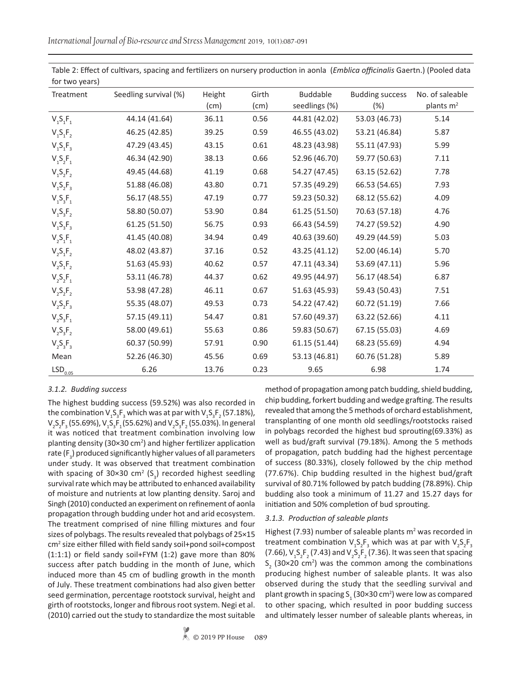*International Journal of Bio-resource and Stress Management* 2019, 10(1):087-091

| for two years)        |                       |        |       |               |                        |                                          |
|-----------------------|-----------------------|--------|-------|---------------|------------------------|------------------------------------------|
| Treatment             | Seedling survival (%) | Height | Girth | Buddable      | <b>Budding success</b> | No. of saleable<br>plants m <sup>2</sup> |
|                       |                       | (cm)   | (cm)  | seedlings (%) | (%)                    |                                          |
| $V_{1}S_{1}F_{1}$     | 44.14 (41.64)         | 36.11  | 0.56  | 44.81 (42.02) | 53.03 (46.73)          | 5.14                                     |
| $V_1S_1F_2$           | 46.25 (42.85)         | 39.25  | 0.59  | 46.55 (43.02) | 53.21 (46.84)          | 5.87                                     |
| $V_{1}S_{1}F_{3}$     | 47.29 (43.45)         | 43.15  | 0.61  | 48.23 (43.98) | 55.11 (47.93)          | 5.99                                     |
| $V_{1}S_{2}F_{1}$     | 46.34 (42.90)         | 38.13  | 0.66  | 52.96 (46.70) | 59.77 (50.63)          | 7.11                                     |
| $V_1S_2F_2$           | 49.45 (44.68)         | 41.19  | 0.68  | 54.27 (47.45) | 63.15 (52.62)          | 7.78                                     |
| $V_1S_2F_3$           | 51.88 (46.08)         | 43.80  | 0.71  | 57.35 (49.29) | 66.53 (54.65)          | 7.93                                     |
| $V_{1}S_{3}F_{1}$     | 56.17 (48.55)         | 47.19  | 0.77  | 59.23 (50.32) | 68.12 (55.62)          | 4.09                                     |
| $V_1S_3F_2$           | 58.80 (50.07)         | 53.90  | 0.84  | 61.25 (51.50) | 70.63 (57.18)          | 4.76                                     |
| $V_1S_3F_3$           | 61.25 (51.50)         | 56.75  | 0.93  | 66.43 (54.59) | 74.27 (59.52)          | 4.90                                     |
| $V_{2}S_{1}F_{1}$     | 41.45 (40.08)         | 34.94  | 0.49  | 40.63 (39.60) | 49.29 (44.59)          | 5.03                                     |
| $V_{2}S_{1}F_{2}$     | 48.02 (43.87)         | 37.16  | 0.52  | 43.25 (41.12) | 52.00 (46.14)          | 5.70                                     |
| $V_{2}S_{1}F_{2}$     | 51.63 (45.93)         | 40.62  | 0.57  | 47.11 (43.34) | 53.69 (47.11)          | 5.96                                     |
| $V_{2}S_{2}F_{1}$     | 53.11 (46.78)         | 44.37  | 0.62  | 49.95 (44.97) | 56.17 (48.54)          | 6.87                                     |
| $V_{2}S_{2}F_{2}$     | 53.98 (47.28)         | 46.11  | 0.67  | 51.63 (45.93) | 59.43 (50.43)          | 7.51                                     |
| $V_{2}S_{2}F_{3}$     | 55.35 (48.07)         | 49.53  | 0.73  | 54.22 (47.42) | 60.72 (51.19)          | 7.66                                     |
| $V_{2}S_{3}F_{1}$     | 57.15 (49.11)         | 54.47  | 0.81  | 57.60 (49.37) | 63.22 (52.66)          | 4.11                                     |
| $V_{2}S_{3}F_{2}$     | 58.00 (49.61)         | 55.63  | 0.86  | 59.83 (50.67) | 67.15 (55.03)          | 4.69                                     |
| $V_{2}S_{3}F_{3}$     | 60.37 (50.99)         | 57.91  | 0.90  | 61.15 (51.44) | 68.23 (55.69)          | 4.94                                     |
| Mean                  | 52.26 (46.30)         | 45.56  | 0.69  | 53.13 (46.81) | 60.76 (51.28)          | 5.89                                     |
| $\mathsf{LSD}_{0.05}$ | 6.26                  | 13.76  | 0.23  | 9.65          | 6.98                   | 1.74                                     |

Table 2: Effect of cultivars, spacing and fertilizers on nursery production in aonla (*Emblica officinalis* Gaertn.) (Pooled data for two years)

# *3.1.2. Budding success*

The highest budding success (59.52%) was also recorded in the combination  $V_1S_3F_3$  which was at par with  $V_1S_3F_2$  (57.18%),  $V_{2}S_{2}F_{3}$  (55.69%),  $V_{1}S_{3}F_{1}$  (55.62%) and  $V_{2}S_{3}F_{2}$  (55.03%). In general it was noticed that treatment combination involving low planting density (30×30 cm<sup>2</sup>) and higher fertilizer application rate (F<sub>3</sub>) produced significantly higher values of all parameters under study. It was observed that treatment combination with spacing of 30×30 cm<sup>2</sup> (S<sub>3</sub>) recorded highest seedling survival rate which may be attributed to enhanced availability of moisture and nutrients at low planting density. Saroj and Singh (2010) conducted an experiment on refinement of aonla propagation through budding under hot and arid ecosystem. The treatment comprised of nine filling mixtures and four sizes of polybags. The results revealed that polybags of 25×15 cm2 size either filled with field sandy soil+pond soil+compost (1:1:1) or field sandy soil+FYM (1:2) gave more than 80% success after patch budding in the month of June, which induced more than 45 cm of budling growth in the month of July. These treatment combinations had also given better seed germination, percentage rootstock survival, height and girth of rootstocks, longer and fibrous root system. Negi et al. (2010) carried out the study to standardize the most suitable

method of propagation among patch budding, shield budding, chip budding, forkert budding and wedge grafting. The results revealed that among the 5 methods of orchard establishment, transplanting of one month old seedlings/rootstocks raised in polybags recorded the highest bud sprouting(69.33%) as well as bud/graft survival (79.18%). Among the 5 methods of propagation, patch budding had the highest percentage of success (80.33%), closely followed by the chip method (77.67%). Chip budding resulted in the highest bud/graft survival of 80.71% followed by patch budding (78.89%). Chip budding also took a minimum of 11.27 and 15.27 days for initiation and 50% completion of bud sprouting.

## *3.1.3. Production of saleable plants*

Highest (7.93) number of saleable plants  $m<sup>2</sup>$  was recorded in treatment combination  $V_1S_2F_3$  which was at par with  $V_2S_2F_3$ (7.66),  $V_1S_2F_2$  (7.43) and  $V_2S_2F_2$  (7.36). It was seen that spacing  $S_2$  (30×20 cm<sup>2</sup>) was the common among the combinations producing highest number of saleable plants. It was also observed during the study that the seedling survival and plant growth in spacing S<sub>1</sub> (30×30 cm<sup>2</sup>) were low as compared to other spacing, which resulted in poor budding success and ultimately lesser number of saleable plants whereas, in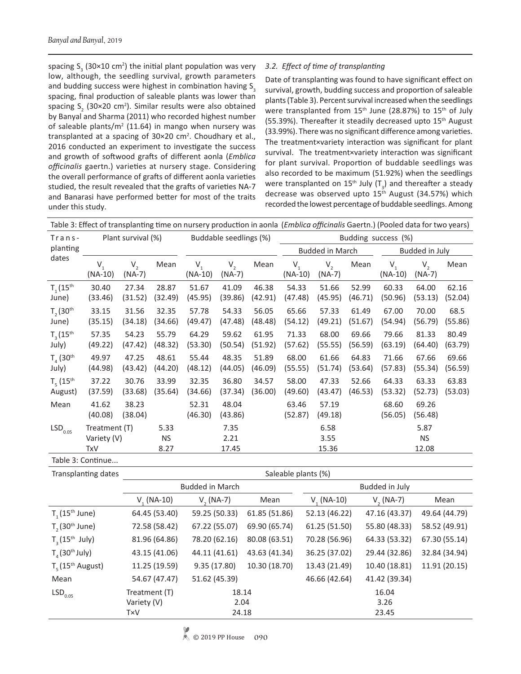spacing  $S_3$  (30×10 cm<sup>2</sup>) the initial plant population was very low, although, the seedling survival, growth parameters and budding success were highest in combination having  $S<sub>3</sub>$ spacing, final production of saleable plants was lower than spacing  $S_2$  (30×20 cm<sup>2</sup>). Similar results were also obtained by Banyal and Sharma (2011) who recorded highest number of saleable plants/ $m<sup>2</sup>$  (11.64) in mango when nursery was transplanted at a spacing of  $30 \times 20$  cm<sup>2</sup>. Choudhary et al., 2016 conducted an experiment to investigate the success and growth of softwood grafts of different aonla (*Emblica officinalis* gaertn.) varieties at nursery stage. Considering the overall performance of grafts of different aonla varieties studied, the result revealed that the grafts of varieties NA-7 and Banarasi have performed better for most of the traits under this study.

# *3.2. Effect of time of transplanting*

Date of transplanting was found to have significant effect on survival, growth, budding success and proportion of saleable plants (Table 3). Percent survival increased when the seedlings were transplanted from 15<sup>th</sup> June (28.87%) to 15<sup>th</sup> of July (55.39%). Thereafter it steadily decreased upto 15<sup>th</sup> August (33.99%). There was no significant difference among varieties. The treatment×variety interaction was significant for plant survival. The treatment×variety interaction was significant for plant survival. Proportion of buddable seedlings was also recorded to be maximum (51.92%) when the seedlings were transplanted on 15<sup>th</sup> July (T<sub>3</sub>) and thereafter a steady decrease was observed upto 15<sup>th</sup> August (34.57%) which recorded the lowest percentage of buddable seedlings. Among

|                                      | Table 3: Effect of transplanting time on nursery production in aonla ( <i>Emblica officinalis</i> Gaertn.) (Pooled data for two years) |                     |                           |                        |                            |                        |                      |                            |                  |                      |                            |                  |
|--------------------------------------|----------------------------------------------------------------------------------------------------------------------------------------|---------------------|---------------------------|------------------------|----------------------------|------------------------|----------------------|----------------------------|------------------|----------------------|----------------------------|------------------|
| Trans-                               | Plant survival (%)                                                                                                                     |                     |                           | Buddable seedlings (%) |                            | Budding success (%)    |                      |                            |                  |                      |                            |                  |
| planting<br>dates                    |                                                                                                                                        |                     |                           |                        |                            | <b>Budded in March</b> |                      |                            | Budded in July   |                      |                            |                  |
|                                      | $V_{1}$<br>$(NA-10)$                                                                                                                   | $V_{2}$<br>$(NA-7)$ | Mean                      | $V_{1}$<br>$(NA-10)$   | V <sub>2</sub><br>$(NA-7)$ | Mean                   | $V_{1}$<br>$(NA-10)$ | V <sub>2</sub><br>$(NA-7)$ | Mean             | $V_{1}$<br>$(NA-10)$ | V <sub>2</sub><br>$(NA-7)$ | Mean             |
| $T_{1}$ (15 <sup>th</sup><br>June)   | 30.40<br>(33.46)                                                                                                                       | 27.34<br>(31.52)    | 28.87<br>(32.49)          | 51.67<br>(45.95)       | 41.09<br>(39.86)           | 46.38<br>(42.91)       | 54.33<br>(47.48)     | 51.66<br>(45.95)           | 52.99<br>(46.71) | 60.33<br>(50.96)     | 64.00<br>(53.13)           | 62.16<br>(52.04) |
| T, (30 <sup>th</sup> )<br>June)      | 33.15<br>(35.15)                                                                                                                       | 31.56<br>(34.18)    | 32.35<br>(34.66)          | 57.78<br>(49.47)       | 54.33<br>(47.48)           | 56.05<br>(48.48)       | 65.66<br>(54.12)     | 57.33<br>(49.21)           | 61.49<br>(51.67) | 67.00<br>(54.94)     | 70.00<br>(56.79)           | 68.5<br>(55.86)  |
| $T_3(15^{th}$<br>July)               | 57.35<br>(49.22)                                                                                                                       | 54.23<br>(47.42)    | 55.79<br>(48.32)          | 64.29<br>(53.30)       | 59.62<br>(50.54)           | 61.95<br>(51.92)       | 71.33<br>(57.62)     | 68.00<br>(55.55)           | 69.66<br>(56.59) | 79.66<br>(63.19)     | 81.33<br>(64.40)           | 80.49<br>(63.79) |
| $T_{A}$ (30 <sup>th</sup><br>July)   | 49.97<br>(44.98)                                                                                                                       | 47.25<br>(43.42)    | 48.61<br>(44.20)          | 55.44<br>(48.12)       | 48.35<br>(44.05)           | 51.89<br>(46.09)       | 68.00<br>(55.55)     | 61.66<br>(51.74)           | 64.83<br>(53.64) | 71.66<br>(57.83)     | 67.66<br>(55.34)           | 69.66<br>(56.59) |
| $T_{5}$ (15 <sup>th</sup><br>August) | 37.22<br>(37.59)                                                                                                                       | 30.76<br>(33.68)    | 33.99<br>(35.64)          | 32.35<br>(34.66)       | 36.80<br>(37.34)           | 34.57<br>(36.00)       | 58.00<br>(49.60)     | 47.33<br>(43.47)           | 52.66<br>(46.53) | 64.33<br>(53.32)     | 63.33<br>(52.73)           | 63.83<br>(53.03) |
| Mean                                 | 41.62<br>(40.08)                                                                                                                       | 38.23<br>(38.04)    |                           | 52.31<br>(46.30)       | 48.04<br>(43.86)           |                        | 63.46<br>(52.87)     | 57.19<br>(49.18)           |                  | 68.60<br>(56.05)     | 69.26<br>(56.48)           |                  |
| $\mathsf{LSD}_{0.05}$                | Treatment (T)<br>Variety (V)<br>TxV                                                                                                    |                     | 5.33<br><b>NS</b><br>8.27 |                        | 7.35<br>2.21<br>17.45      |                        |                      | 6.58<br>3.55<br>15.36      |                  |                      | 5.87<br><b>NS</b><br>12.08 |                  |

Table 3: Continue...

| Transplanting dates             | Saleable plants (%)    |               |               |                 |               |               |  |  |
|---------------------------------|------------------------|---------------|---------------|-----------------|---------------|---------------|--|--|
|                                 | <b>Budded in March</b> |               |               | Budded in July  |               |               |  |  |
|                                 | $V_{1}$ (NA-10)        | $V, (NA-7)$   | Mean          | $V_{1}$ (NA-10) | $V, (NA-7)$   | Mean          |  |  |
| $T_1(15^{th}$ June)             | 64.45 (53.40)          | 59.25 (50.33) | 61.85 (51.86) | 52.13 (46.22)   | 47.16 (43.37) | 49.64 (44.79) |  |  |
| $T2$ (30 <sup>th</sup> June)    | 72.58 (58.42)          | 67.22 (55.07) | 69.90 (65.74) | 61.25 (51.50)   | 55.80 (48.33) | 58.52 (49.91) |  |  |
| $T_a(15^{th}$ July)             | 81.96 (64.86)          | 78.20 (62.16) | 80.08 (63.51) | 70.28 (56.96)   | 64.33 (53.32) | 67.30 (55.14) |  |  |
| $T_a$ (30 <sup>th</sup> July)   | 43.15 (41.06)          | 44.11 (41.61) | 43.63 (41.34) | 36.25 (37.02)   | 29.44 (32.86) | 32.84 (34.94) |  |  |
| $T_c$ (15 <sup>th</sup> August) | 11.25 (19.59)          | 9.35(17.80)   | 10.30 (18.70) | 13.43 (21.49)   | 10.40 (18.81) | 11.91 (20.15) |  |  |
| Mean                            | 54.67 (47.47)          | 51.62 (45.39) |               | 46.66 (42.64)   | 41.42 (39.34) |               |  |  |
| LSD <sub>0.05</sub>             | Treatment (T)          | 18.14<br>2.04 |               |                 | 16.04         |               |  |  |
|                                 | Variety (V)            |               |               | 3.26            |               |               |  |  |
|                                 | <b>TxV</b>             | 24.18         |               | 23.45           |               |               |  |  |